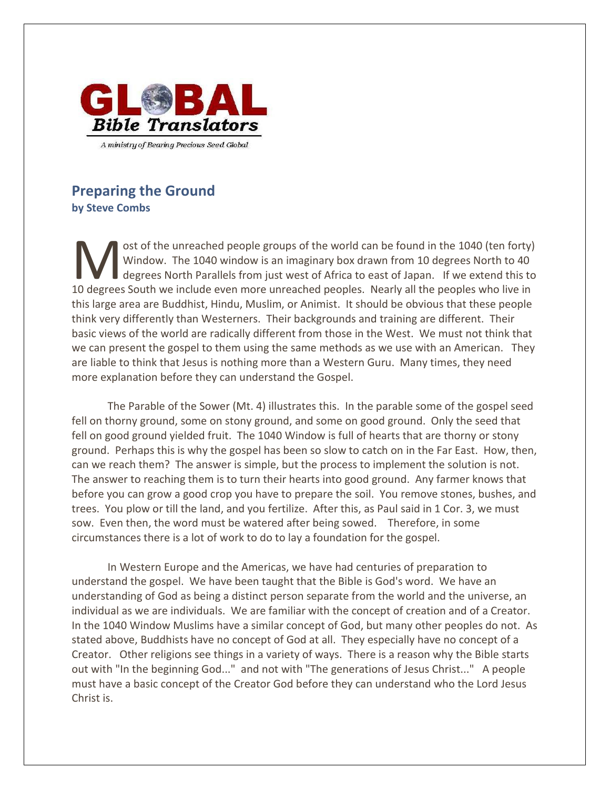

## **Preparing the Ground by Steve Combs**

ost of the unreached people groups of the world can be found in the 1040 (ten forty) Window. The 1040 window is an imaginary box drawn from 10 degrees North to 40 degrees North Parallels from just west of Africa to east of Japan. If we extend this to ost of the unreached people groups of the world can be found in the 1040 (ten forty)<br>Window. The 1040 window is an imaginary box drawn from 10 degrees North to 40<br>10 degrees South we include even more unreached peoples. Ne this large area are Buddhist, Hindu, Muslim, or Animist. It should be obvious that these people think very differently than Westerners. Their backgrounds and training are different. Their basic views of the world are radically different from those in the West. We must not think that we can present the gospel to them using the same methods as we use with an American. They are liable to think that Jesus is nothing more than a Western Guru. Many times, they need more explanation before they can understand the Gospel.

The Parable of the Sower (Mt. 4) illustrates this. In the parable some of the gospel seed fell on thorny ground, some on stony ground, and some on good ground. Only the seed that fell on good ground yielded fruit. The 1040 Window is full of hearts that are thorny or stony ground. Perhaps this is why the gospel has been so slow to catch on in the Far East. How, then, can we reach them? The answer is simple, but the process to implement the solution is not. The answer to reaching them is to turn their hearts into good ground. Any farmer knows that before you can grow a good crop you have to prepare the soil. You remove stones, bushes, and trees. You plow or till the land, and you fertilize. After this, as Paul said in 1 Cor. 3, we must sow. Even then, the word must be watered after being sowed. Therefore, in some circumstances there is a lot of work to do to lay a foundation for the gospel.

In Western Europe and the Americas, we have had centuries of preparation to understand the gospel. We have been taught that the Bible is God's word. We have an understanding of God as being a distinct person separate from the world and the universe, an individual as we are individuals. We are familiar with the concept of creation and of a Creator. In the 1040 Window Muslims have a similar concept of God, but many other peoples do not. As stated above, Buddhists have no concept of God at all. They especially have no concept of a Creator. Other religions see things in a variety of ways. There is a reason why the Bible starts out with "In the beginning God..." and not with "The generations of Jesus Christ..." A people must have a basic concept of the Creator God before they can understand who the Lord Jesus Christ is.